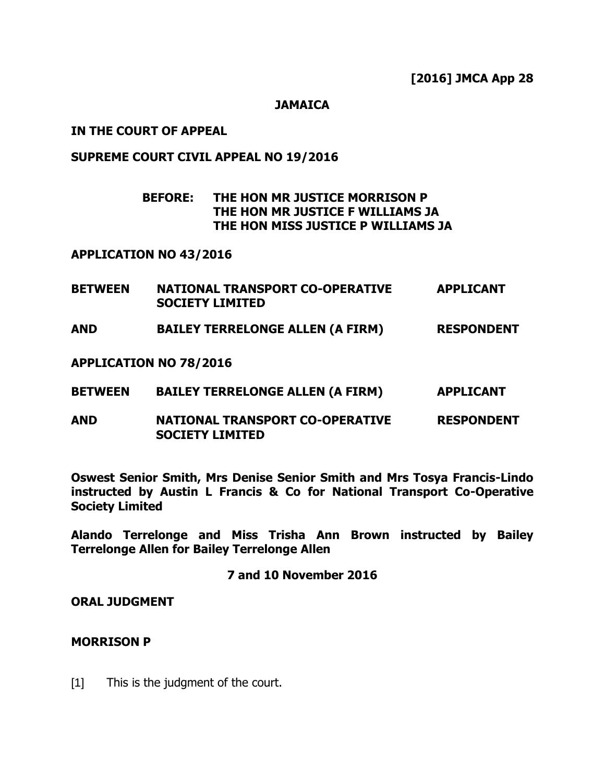## **JAMAICA**

# **IN THE COURT OF APPEAL**

## **SUPREME COURT CIVIL APPEAL NO 19/2016**

# **BEFORE: THE HON MR JUSTICE MORRISON P THE HON MR JUSTICE F WILLIAMS JA THE HON MISS JUSTICE P WILLIAMS JA**

#### **APPLICATION NO 43/2016**

| <b>BETWEEN</b> | <b>NATIONAL TRANSPORT CO-OPERATIVE</b> | <b>APPLICANT</b> |
|----------------|----------------------------------------|------------------|
|                | <b>SOCIETY LIMITED</b>                 |                  |
|                |                                        |                  |

**AND BAILEY TERRELONGE ALLEN (A FIRM) RESPONDENT**

**APPLICATION NO 78/2016**

- **BETWEEN BAILEY TERRELONGE ALLEN (A FIRM) APPLICANT**
- **AND NATIONAL TRANSPORT CO-OPERATIVE RESPONDENT SOCIETY LIMITED**

**Oswest Senior Smith, Mrs Denise Senior Smith and Mrs Tosya Francis-Lindo instructed by Austin L Francis & Co for National Transport Co-Operative Society Limited**

**Alando Terrelonge and Miss Trisha Ann Brown instructed by Bailey Terrelonge Allen for Bailey Terrelonge Allen**

# **7 and 10 November 2016**

**ORAL JUDGMENT**

# **MORRISON P**

[1] This is the judgment of the court.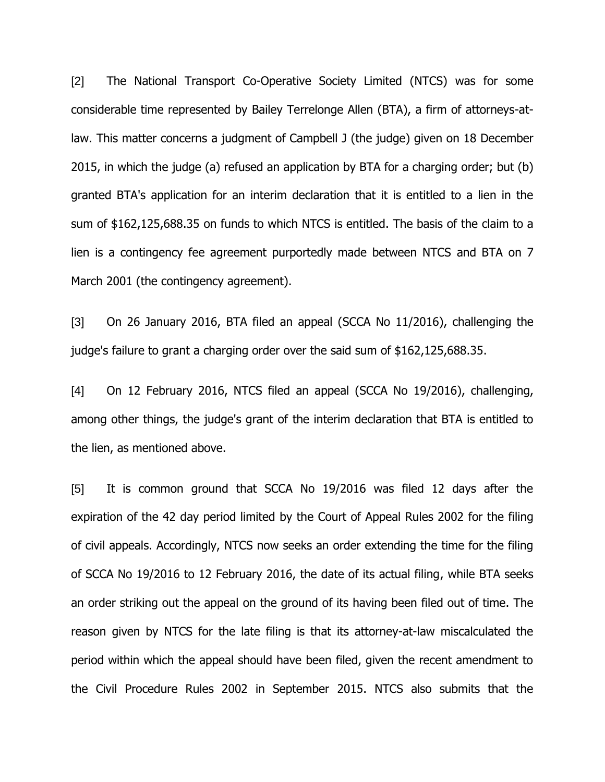[2] The National Transport Co-Operative Society Limited (NTCS) was for some considerable time represented by Bailey Terrelonge Allen (BTA), a firm of attorneys-atlaw. This matter concerns a judgment of Campbell J (the judge) given on 18 December 2015, in which the judge (a) refused an application by BTA for a charging order; but (b) granted BTA's application for an interim declaration that it is entitled to a lien in the sum of \$162,125,688.35 on funds to which NTCS is entitled. The basis of the claim to a lien is a contingency fee agreement purportedly made between NTCS and BTA on 7 March 2001 (the contingency agreement).

[3] On 26 January 2016, BTA filed an appeal (SCCA No 11/2016), challenging the judge's failure to grant a charging order over the said sum of \$162,125,688.35.

[4] On 12 February 2016, NTCS filed an appeal (SCCA No 19/2016), challenging, among other things, the judge's grant of the interim declaration that BTA is entitled to the lien, as mentioned above.

[5] It is common ground that SCCA No 19/2016 was filed 12 days after the expiration of the 42 day period limited by the Court of Appeal Rules 2002 for the filing of civil appeals. Accordingly, NTCS now seeks an order extending the time for the filing of SCCA No 19/2016 to 12 February 2016, the date of its actual filing, while BTA seeks an order striking out the appeal on the ground of its having been filed out of time. The reason given by NTCS for the late filing is that its attorney-at-law miscalculated the period within which the appeal should have been filed, given the recent amendment to the Civil Procedure Rules 2002 in September 2015. NTCS also submits that the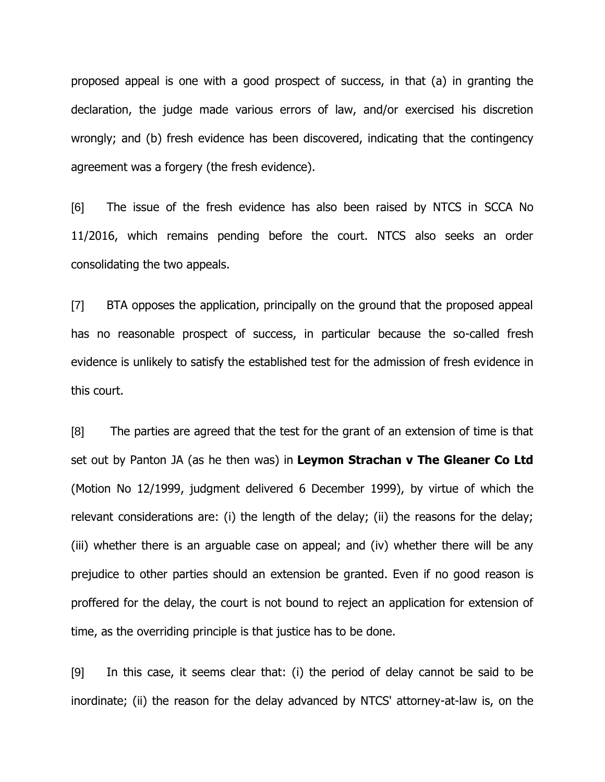proposed appeal is one with a good prospect of success, in that (a) in granting the declaration, the judge made various errors of law, and/or exercised his discretion wrongly; and (b) fresh evidence has been discovered, indicating that the contingency agreement was a forgery (the fresh evidence).

[6] The issue of the fresh evidence has also been raised by NTCS in SCCA No 11/2016, which remains pending before the court. NTCS also seeks an order consolidating the two appeals.

[7] BTA opposes the application, principally on the ground that the proposed appeal has no reasonable prospect of success, in particular because the so-called fresh evidence is unlikely to satisfy the established test for the admission of fresh evidence in this court.

[8] The parties are agreed that the test for the grant of an extension of time is that set out by Panton JA (as he then was) in **Leymon Strachan v The Gleaner Co Ltd** (Motion No 12/1999, judgment delivered 6 December 1999), by virtue of which the relevant considerations are: (i) the length of the delay; (ii) the reasons for the delay; (iii) whether there is an arguable case on appeal; and (iv) whether there will be any prejudice to other parties should an extension be granted. Even if no good reason is proffered for the delay, the court is not bound to reject an application for extension of time, as the overriding principle is that justice has to be done.

[9] In this case, it seems clear that: (i) the period of delay cannot be said to be inordinate; (ii) the reason for the delay advanced by NTCS' attorney-at-law is, on the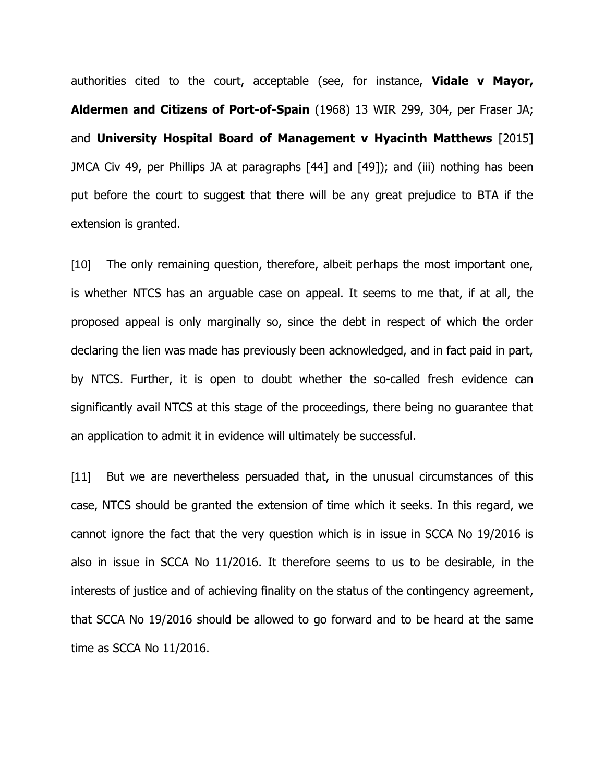authorities cited to the court, acceptable (see, for instance, **Vidale v Mayor, Aldermen and Citizens of Port-of-Spain** (1968) 13 WIR 299, 304, per Fraser JA; and **University Hospital Board of Management v Hyacinth Matthews** [2015] JMCA Civ 49, per Phillips JA at paragraphs [44] and [49]); and (iii) nothing has been put before the court to suggest that there will be any great prejudice to BTA if the extension is granted.

[10] The only remaining question, therefore, albeit perhaps the most important one, is whether NTCS has an arguable case on appeal. It seems to me that, if at all, the proposed appeal is only marginally so, since the debt in respect of which the order declaring the lien was made has previously been acknowledged, and in fact paid in part, by NTCS. Further, it is open to doubt whether the so-called fresh evidence can significantly avail NTCS at this stage of the proceedings, there being no guarantee that an application to admit it in evidence will ultimately be successful.

[11] But we are nevertheless persuaded that, in the unusual circumstances of this case, NTCS should be granted the extension of time which it seeks. In this regard, we cannot ignore the fact that the very question which is in issue in SCCA No 19/2016 is also in issue in SCCA No 11/2016. It therefore seems to us to be desirable, in the interests of justice and of achieving finality on the status of the contingency agreement, that SCCA No 19/2016 should be allowed to go forward and to be heard at the same time as SCCA No 11/2016.